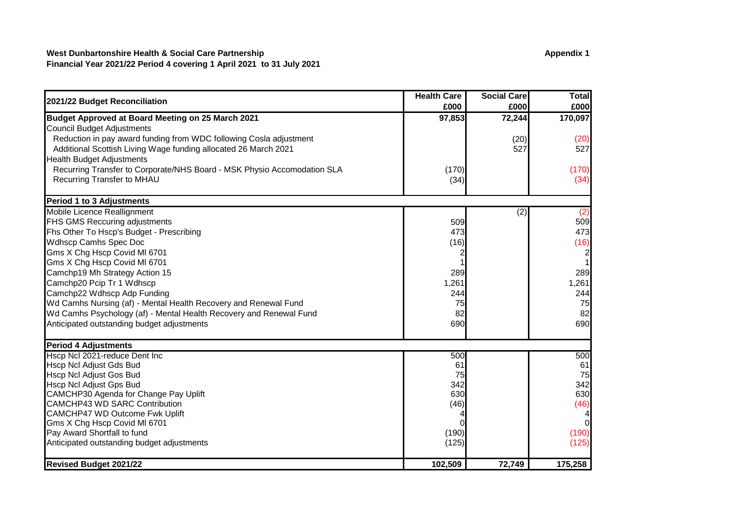## **West Dunbartonshire Health & Social Care Partnership Appendix 1 Appendix 1 Financial Year 2021/22 Period 4 covering 1 April 2021 to 31 July 2021**

|                                                                         | <b>Health Care</b> | <b>Social Care</b> | Total   |
|-------------------------------------------------------------------------|--------------------|--------------------|---------|
| 2021/22 Budget Reconciliation                                           | £000               | £000               | £000    |
| Budget Approved at Board Meeting on 25 March 2021                       | 97,853             | 72,244             | 170,097 |
| Council Budget Adjustments                                              |                    |                    |         |
| Reduction in pay award funding from WDC following Cosla adjustment      |                    | (20)               | (20)    |
| Additional Scottish Living Wage funding allocated 26 March 2021         |                    | 527                | 527     |
| <b>Health Budget Adjustments</b>                                        |                    |                    |         |
| Recurring Transfer to Corporate/NHS Board - MSK Physio Accomodation SLA | (170)              |                    | (170)   |
| <b>Recurring Transfer to MHAU</b>                                       | (34)               |                    | (34)    |
| <b>Period 1 to 3 Adjustments</b>                                        |                    |                    |         |
| Mobile Licence Reallignment                                             |                    | (2)                | (2)     |
| FHS GMS Reccuring adjustments                                           | 509                |                    | 509     |
| Fhs Other To Hscp's Budget - Prescribing                                | 473                |                    | 473     |
| <b>Wdhscp Camhs Spec Doc</b>                                            | (16)               |                    | (16)    |
| Gms X Chg Hscp Covid MI 6701                                            |                    |                    |         |
| Gms X Chg Hscp Covid MI 6701                                            |                    |                    |         |
| Camchp19 Mh Strategy Action 15                                          | 289                |                    | 289     |
| Camchp20 Pcip Tr 1 Wdhscp                                               | 1,261              |                    | 1,261   |
| Camchp22 Wdhscp Adp Funding                                             | 244                |                    | 244     |
| Wd Camhs Nursing (af) - Mental Health Recovery and Renewal Fund         | 75                 |                    | 75      |
| Wd Camhs Psychology (af) - Mental Health Recovery and Renewal Fund      | 82                 |                    | 82      |
| Anticipated outstanding budget adjustments                              | 690                |                    | 690     |
| <b>Period 4 Adjustments</b>                                             |                    |                    |         |
| Hscp Ncl 2021-reduce Dent Inc                                           | 500                |                    | 500     |
| Hscp Ncl Adjust Gds Bud                                                 | 61                 |                    | 61      |
| Hscp Ncl Adjust Gos Bud                                                 | 75                 |                    | 75      |
| Hscp Ncl Adjust Gps Bud                                                 | 342                |                    | 342     |
| CAMCHP30 Agenda for Change Pay Uplift                                   | 630                |                    | 630     |
| <b>CAMCHP43 WD SARC Contribution</b>                                    | (46)               |                    | (46)    |
| CAMCHP47 WD Outcome Fwk Uplift                                          |                    |                    |         |
| Gms X Chg Hscp Covid MI 6701                                            |                    |                    |         |
| Pay Award Shortfall to fund                                             | (190)              |                    | (190)   |
| Anticipated outstanding budget adjustments                              | (125)              |                    | (125)   |
| <b>Revised Budget 2021/22</b>                                           | 102,509            | 72,749             | 175,258 |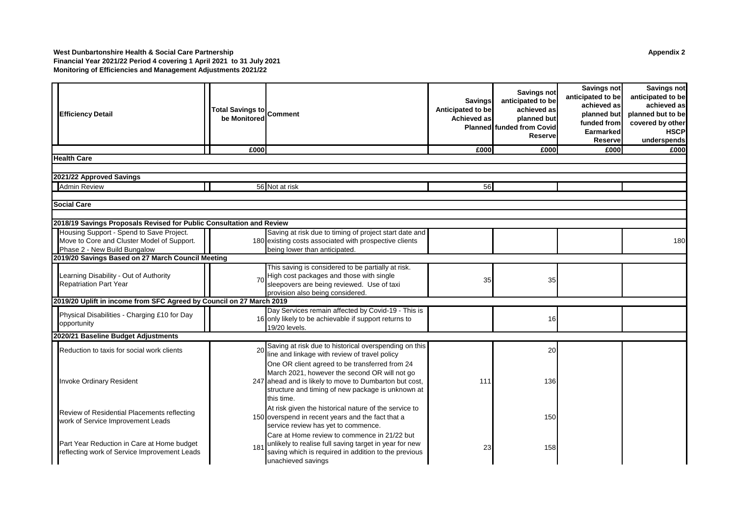#### **West Dunbartonshire Health & Social Care Partnership Appendix 2 Financial Year 2021/22 Period 4 covering 1 April 2021 to 31 July 2021 Monitoring of Efficiencies and Management Adjustments 2021/22**

| <b>Efficiency Detail</b>                                                                   | <b>Total Savings to</b><br>be Monitored | <b>Comment</b>                                                                                                                                                                                                               | <b>Savings</b><br>Anticipated to be<br>Achieved as | <b>Savings not</b><br>anticipated to be<br>achieved as<br>planned but<br><b>Planned</b> funded from Covid<br><b>Reserve</b> | Savings not<br>anticipated to be<br>achieved as<br>planned but<br>funded from<br>Earmarked<br><b>Reserve</b> | Savings not<br>anticipated to be<br>achieved as<br>planned but to be<br>covered by other<br><b>HSCP</b><br>underspends |
|--------------------------------------------------------------------------------------------|-----------------------------------------|------------------------------------------------------------------------------------------------------------------------------------------------------------------------------------------------------------------------------|----------------------------------------------------|-----------------------------------------------------------------------------------------------------------------------------|--------------------------------------------------------------------------------------------------------------|------------------------------------------------------------------------------------------------------------------------|
|                                                                                            | £000                                    |                                                                                                                                                                                                                              | £000                                               | £000                                                                                                                        | £000                                                                                                         | £000                                                                                                                   |
| <b>Health Care</b>                                                                         |                                         |                                                                                                                                                                                                                              |                                                    |                                                                                                                             |                                                                                                              |                                                                                                                        |
|                                                                                            |                                         |                                                                                                                                                                                                                              |                                                    |                                                                                                                             |                                                                                                              |                                                                                                                        |
| 2021/22 Approved Savings                                                                   |                                         |                                                                                                                                                                                                                              |                                                    |                                                                                                                             |                                                                                                              |                                                                                                                        |
| <b>Admin Review</b>                                                                        |                                         | 56 Not at risk                                                                                                                                                                                                               | 56                                                 |                                                                                                                             |                                                                                                              |                                                                                                                        |
| <b>Social Care</b>                                                                         |                                         |                                                                                                                                                                                                                              |                                                    |                                                                                                                             |                                                                                                              |                                                                                                                        |
|                                                                                            |                                         |                                                                                                                                                                                                                              |                                                    |                                                                                                                             |                                                                                                              |                                                                                                                        |
| 2018/19 Savings Proposals Revised for Public Consultation and Review                       |                                         |                                                                                                                                                                                                                              |                                                    |                                                                                                                             |                                                                                                              |                                                                                                                        |
| Housing Support - Spend to Save Project.                                                   |                                         | Saving at risk due to timing of project start date and                                                                                                                                                                       |                                                    |                                                                                                                             |                                                                                                              |                                                                                                                        |
| Move to Core and Cluster Model of Support.                                                 |                                         | 180 existing costs associated with prospective clients                                                                                                                                                                       |                                                    |                                                                                                                             |                                                                                                              | 180                                                                                                                    |
| Phase 2 - New Build Bungalow                                                               |                                         | being lower than anticipated.                                                                                                                                                                                                |                                                    |                                                                                                                             |                                                                                                              |                                                                                                                        |
| 2019/20 Savings Based on 27 March Council Meeting                                          |                                         |                                                                                                                                                                                                                              |                                                    |                                                                                                                             |                                                                                                              |                                                                                                                        |
| Learning Disability - Out of Authority<br><b>Repatriation Part Year</b>                    | 7 <sub>0</sub>                          | This saving is considered to be partially at risk.<br>High cost packages and those with single<br>sleepovers are being reviewed. Use of taxi<br>provision also being considered.                                             | 35                                                 | 35                                                                                                                          |                                                                                                              |                                                                                                                        |
| 2019/20 Uplift in income from SFC Agreed by Council on 27 March 2019                       |                                         |                                                                                                                                                                                                                              |                                                    |                                                                                                                             |                                                                                                              |                                                                                                                        |
| Physical Disabilities - Charging £10 for Day<br>opportunity                                |                                         | Day Services remain affected by Covid-19 - This is<br>16 only likely to be achievable if support returns to<br>19/20 levels.                                                                                                 |                                                    | 16                                                                                                                          |                                                                                                              |                                                                                                                        |
| 2020/21 Baseline Budget Adjustments                                                        |                                         |                                                                                                                                                                                                                              |                                                    |                                                                                                                             |                                                                                                              |                                                                                                                        |
| Reduction to taxis for social work clients                                                 | 20                                      | Saving at risk due to historical overspending on this<br>line and linkage with review of travel policy                                                                                                                       |                                                    | 20                                                                                                                          |                                                                                                              |                                                                                                                        |
| Invoke Ordinary Resident                                                                   |                                         | One OR client agreed to be transferred from 24<br>March 2021, however the second OR will not go<br>247 ahead and is likely to move to Dumbarton but cost,<br>structure and timing of new package is unknown at<br>this time. | 111                                                | 136                                                                                                                         |                                                                                                              |                                                                                                                        |
| Review of Residential Placements reflecting<br>work of Service Improvement Leads           |                                         | At risk given the historical nature of the service to<br>150 overspend in recent years and the fact that a<br>service review has yet to commence.                                                                            |                                                    | 150                                                                                                                         |                                                                                                              |                                                                                                                        |
| Part Year Reduction in Care at Home budget<br>reflecting work of Service Improvement Leads | 181                                     | Care at Home review to commence in 21/22 but<br>unlikely to realise full saving target in year for new<br>saving which is required in addition to the previous<br>unachieved savings                                         | 23                                                 | 158                                                                                                                         |                                                                                                              |                                                                                                                        |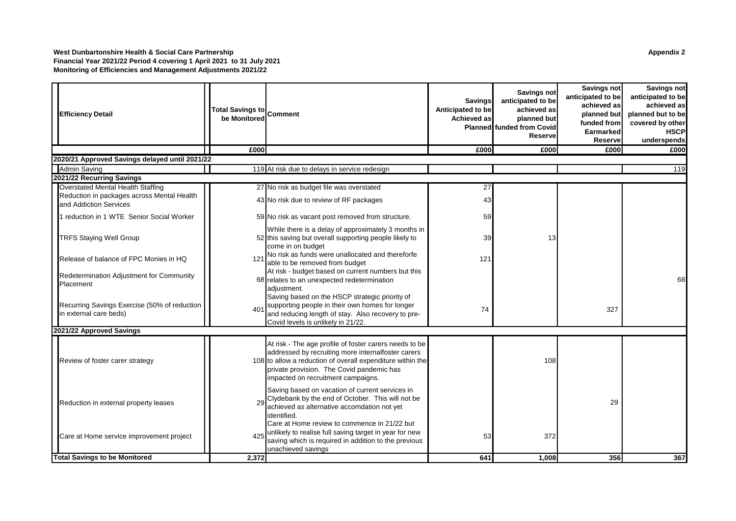#### **West Dunbartonshire Health & Social Care Partnership Appendix 2 Financial Year 2021/22 Period 4 covering 1 April 2021 to 31 July 2021 Monitoring of Efficiencies and Management Adjustments 2021/22**

| <b>Efficiency Detail</b>                                               | Total Savings to Comment<br>be Monitored |                                                                                                                                                                                                                                                               | <b>Savings</b><br>Anticipated to be<br>Achieved as | <b>Savings not</b><br>anticipated to be<br>achieved as<br>planned but<br><b>Planned</b> funded from Covid<br><b>Reserve</b> | Savings not<br>anticipated to be<br>achieved as<br>planned but<br>funded from<br><b>Earmarked</b><br><b>Reserve</b> | <b>Savings not</b><br>anticipated to be<br>achieved as<br>planned but to be<br>covered by other<br><b>HSCP</b><br>underspends |
|------------------------------------------------------------------------|------------------------------------------|---------------------------------------------------------------------------------------------------------------------------------------------------------------------------------------------------------------------------------------------------------------|----------------------------------------------------|-----------------------------------------------------------------------------------------------------------------------------|---------------------------------------------------------------------------------------------------------------------|-------------------------------------------------------------------------------------------------------------------------------|
|                                                                        | £000                                     |                                                                                                                                                                                                                                                               | £000                                               | £000                                                                                                                        | £000                                                                                                                | £000                                                                                                                          |
| 2020/21 Approved Savings delayed until 2021/22                         |                                          |                                                                                                                                                                                                                                                               |                                                    |                                                                                                                             |                                                                                                                     |                                                                                                                               |
| <b>Admin Saving</b>                                                    |                                          | 119 At risk due to delays in service redesign                                                                                                                                                                                                                 |                                                    |                                                                                                                             |                                                                                                                     | 119                                                                                                                           |
| 2021/22 Recurring Savings                                              |                                          |                                                                                                                                                                                                                                                               |                                                    |                                                                                                                             |                                                                                                                     |                                                                                                                               |
| Overstated Mental Health Staffing                                      |                                          | 27 No risk as budget file was overstated                                                                                                                                                                                                                      | 27                                                 |                                                                                                                             |                                                                                                                     |                                                                                                                               |
| Reduction in packages across Mental Health<br>and Addiction Services   |                                          | 43 No risk due to review of RF packages                                                                                                                                                                                                                       | 43                                                 |                                                                                                                             |                                                                                                                     |                                                                                                                               |
| 1 reduction in 1 WTE Senior Social Worker                              |                                          | 59 No risk as vacant post removed from structure.                                                                                                                                                                                                             | 59                                                 |                                                                                                                             |                                                                                                                     |                                                                                                                               |
| <b>TRFS Staying Well Group</b>                                         |                                          | While there is a delay of approximately 3 months in<br>52 this saving but overall supporting people likely to<br>come in on budget                                                                                                                            | 39                                                 | 13                                                                                                                          |                                                                                                                     |                                                                                                                               |
| Release of balance of FPC Monies in HQ                                 | 121                                      | No risk as funds were unallocated and thereforfe<br>able to be removed from budget                                                                                                                                                                            | 121                                                |                                                                                                                             |                                                                                                                     |                                                                                                                               |
| Redetermination Adjustment for Community<br>Placement                  |                                          | At risk - budget based on current numbers but this<br>68 relates to an unexpected redetermination<br>adjustment.                                                                                                                                              |                                                    |                                                                                                                             |                                                                                                                     | 68                                                                                                                            |
| Recurring Savings Exercise (50% of reduction<br>in external care beds) | 401                                      | Saving based on the HSCP strategic priority of<br>supporting people in their own homes for longer<br>and reducing length of stay. Also recovery to pre-<br>Covid levels is unlikely in 21/22.                                                                 | 74                                                 |                                                                                                                             | 327                                                                                                                 |                                                                                                                               |
| 2021/22 Approved Savings                                               |                                          |                                                                                                                                                                                                                                                               |                                                    |                                                                                                                             |                                                                                                                     |                                                                                                                               |
| Review of foster carer strategy                                        |                                          | At risk - The age profile of foster carers needs to be<br>addressed by recruiting more internalfoster carers<br>108 to allow a reduction of overall expenditure within the<br>private provision. The Covid pandemic has<br>impacted on recruitment campaigns. |                                                    | 108                                                                                                                         |                                                                                                                     |                                                                                                                               |
| Reduction in external property leases                                  | 29                                       | Saving based on vacation of current services in<br>Clydebank by the end of October. This will not be<br>achieved as alternative accomdation not yet<br>identified.<br>Care at Home review to commence in 21/22 but                                            |                                                    |                                                                                                                             | 29                                                                                                                  |                                                                                                                               |
| Care at Home service improvement project                               | 425                                      | unlikely to realise full saving target in year for new<br>saving which is required in addition to the previous<br>unachieved savings                                                                                                                          | 53                                                 | 372                                                                                                                         |                                                                                                                     |                                                                                                                               |
| <b>Total Savings to be Monitored</b>                                   | 2,372                                    |                                                                                                                                                                                                                                                               | 641                                                | 1,008                                                                                                                       | 356                                                                                                                 | 367                                                                                                                           |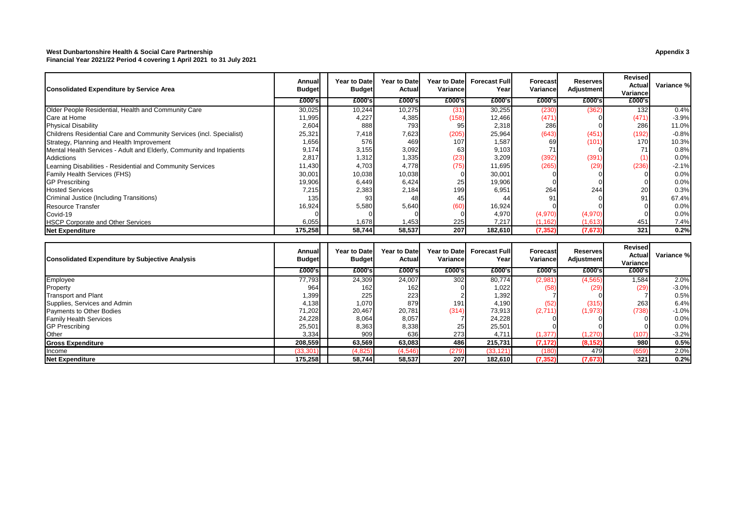#### **West Dunbartonshire Health & Social Care Partnership Appendix 3**

**Financial Year 2021/22 Period 4 covering 1 April 2021 to 31 July 2021**

| Consolidated Expenditure by Service Area                             | Annual<br><b>Budget</b> | <b>Year to Date</b><br><b>Budget</b> | <b>Year to Date</b><br>Actual | <b>Year to Datel</b><br>Variance | <b>Forecast Full</b><br>Year | Forecast<br>Variance | <b>Reserves</b><br><b>Adjustment</b> | Revised<br>Actual<br>Variance | Variance % |
|----------------------------------------------------------------------|-------------------------|--------------------------------------|-------------------------------|----------------------------------|------------------------------|----------------------|--------------------------------------|-------------------------------|------------|
|                                                                      | £000's                  | £000's                               | £000's                        | £000's                           | £000's                       | £000's               | £000's                               | £000's                        |            |
| Older People Residential, Health and Community Care                  | 30,025                  | 10,244                               | 10,275                        | (31)                             | 30,255                       | (230)                | (362                                 | 132                           | 0.4%       |
| Care at Home                                                         | 11,995                  | 4,227                                | 4,385                         | (158)                            | 12,466                       | (471)                |                                      | (471)                         | $-3.9%$    |
| <b>Physical Disability</b>                                           | 2,604                   | 888                                  | 793                           | 95                               | 2,318                        | 286                  |                                      | 286                           | 11.0%      |
| Childrens Residential Care and Community Services (incl. Specialist) | 25,321                  | 7,418                                | 7,623                         | (205)                            | 25,964                       | (643)                | (451)                                | (192)                         | $-0.8%$    |
| Strategy, Planning and Health Improvement                            | 1,656                   | 576                                  | 469                           | 107                              | 1,587                        | 69                   | (101)                                | 170                           | 10.3%      |
| Mental Health Services - Adult and Elderly, Community and Inpatients | 9,174                   | 3,155                                | 3,092                         | 63                               | 9,103                        | 71                   |                                      | 71                            | 0.8%       |
| <b>Addictions</b>                                                    | 2,817                   | 1,312                                | 1,335                         | (23)                             | 3,209                        | (392)                | (391)                                | (1)                           | 0.0%       |
| Learning Disabilities - Residential and Community Services           | 11,430                  | 4,703                                | 4,778                         | (75)                             | 11,695                       | (265)                | (29)                                 | (236)                         | $-2.1%$    |
| Family Health Services (FHS)                                         | 30,001                  | 10,038                               | 10,038                        |                                  | 30,001                       |                      |                                      |                               | 0.0%       |
| <b>GP Prescribing</b>                                                | 19,906                  | 6,449                                | 6,424                         | 25                               | 19,906                       |                      |                                      |                               | 0.0%       |
| <b>Hosted Services</b>                                               | 7,215                   | 2,383                                | 2,184                         | 199                              | 6,951                        | 264                  | 244                                  | 20                            | 0.3%       |
| Criminal Justice (Including Transitions)                             | 135                     | 93                                   | 48                            | 45                               | 44                           | 91                   |                                      | 91                            | 67.4%      |
| <b>Resource Transfer</b>                                             | 16,924                  | 5,580                                | 5,640                         | 60)                              | 16,924                       |                      |                                      |                               | 0.0%       |
| Covid-19                                                             |                         |                                      |                               |                                  | 4,970                        | (4,970)              | (4,970)                              |                               | 0.0%       |
| <b>HSCP Corporate and Other Services</b>                             | 6,055                   | 1,678                                | 1,453                         | 225                              | 7,217                        | (1, 162)             | (1,613)                              | 451                           | 7.4%       |
| <b>Net Expenditure</b>                                               | 175,258                 | 58,744                               | 58,537                        | 207                              | 182,610                      | (7, 352)             | (7,673)                              | 321                           | 0.2%       |
|                                                                      |                         |                                      |                               |                                  |                              |                      |                                      | <b>Revised</b>                |            |
|                                                                      | Annual                  | Year to Datel                        | Year to Date                  | Year to Date                     | <b>Forecast Full</b>         | <b>Forecast</b>      | <b>Reserves</b>                      | Actual                        | Variance % |
| <b>Consolidated Expenditure by Subjective Analysis</b>               | <b>Budget</b>           | <b>Budget</b>                        | Actual                        | Variance                         | Year                         | Variance             | <b>Adjustment</b>                    | Variance                      |            |
|                                                                      | £000's                  | £000's                               | £000's                        | £000's                           | £000's                       | £000's               | £000's                               | £000's                        |            |
| Employee                                                             | 77,793                  | 24,309                               | 24,007                        | 302                              | 80,774                       | (2,981)              | (4, 565)                             | 1,584                         | 2.0%       |
| Property                                                             | 964                     | 162                                  | 162                           |                                  | 1,022                        | (58)                 | (29                                  | (29)                          | $-3.0%$    |
| <b>Transport and Plant</b>                                           | 1,399                   | 225                                  | 223                           |                                  | 1,392                        |                      |                                      |                               | 0.5%       |
| Supplies, Services and Admin                                         | 4,138                   | 1,070                                | 879                           | 191                              | 4,190                        | (52)                 | (315)                                | 263                           | 6.4%       |
| <b>Payments to Other Bodies</b>                                      | 71,202                  | 20,467                               | 20,781                        | (314)                            | 73,913                       | (2,711)              | (1, 973)                             | (738)                         | $-1.0%$    |
| <b>Family Health Services</b>                                        | 24,228                  | 8,064                                | 8,057                         |                                  | 24,228                       |                      |                                      |                               | 0.0%       |
| <b>GP Prescribing</b>                                                | 25,501                  | 8,363                                | 8,338                         | 25                               | 25,501                       |                      |                                      |                               | 0.0%       |
| Other                                                                | 3,334                   | 909                                  | 636                           | 273                              | 4,711                        | (1, 377)             | (1, 270)                             | (107)                         | $-3.2%$    |
| <b>Gross Expenditure</b>                                             | 208,559                 | 63,569                               | 63,083                        | <b>486</b>                       | 215,731                      | (7, 172)             | (8, 152)                             | 980                           | 0.5%       |

Income (33,301) (4,825) (4,546) (279) (33,121) (180) 479 (659) 2.0% **Net Expenditure 175,258 58,744 58,537 207 182,610 (7,352) (7,673) 321 0.2%**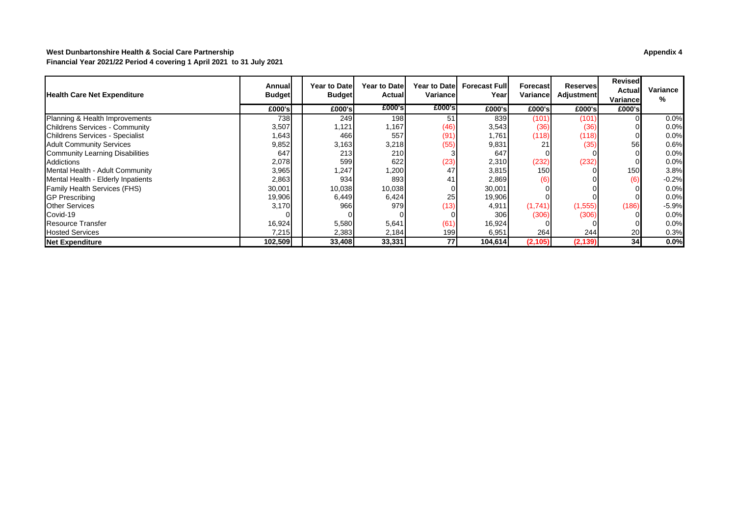### **West Dunbartonshire Health & Social Care Partnership Appendix 4 Financial Year 2021/22 Period 4 covering 1 April 2021 to 31 July 2021**

| <b>Health Care Net Expenditure</b>     | Annuall<br><b>Budget</b> | <b>Year to Datel</b><br><b>Budget</b> | <b>Year to Datel</b><br>Actuall | Variancel | Year to Datel Forecast Full<br>Yearl | Forecastl<br>Variancel | Reserves<br>Adjustment | Revised<br>Actual<br>Variancel | Variance<br>% |
|----------------------------------------|--------------------------|---------------------------------------|---------------------------------|-----------|--------------------------------------|------------------------|------------------------|--------------------------------|---------------|
|                                        | £000's                   | £000's                                | £000's                          | £000's    | £000's                               | £000's                 | £000's                 | £000's                         |               |
| Planning & Health Improvements         | 738                      | 249                                   | 198 <b>I</b>                    | 51        | 839                                  | (101)                  | (101)                  |                                | 0.0%          |
| Childrens Services - Community         | 3,507                    | 1,121                                 | 1,167                           | (46)      | 3,543                                | (36)                   | (36)                   |                                | 0.0%          |
| Childrens Services - Specialist        | 1,643                    | 4661                                  | 557                             | (91)      | 1,761                                | (118)                  | (118)                  |                                | 0.0%          |
| <b>Adult Community Services</b>        | 9,852                    | 3,163                                 | 3,218                           | (55)      | 9,831                                | 21                     | (35)                   | 56                             | 0.6%          |
| <b>Community Learning Disabilities</b> | 647                      | 213I                                  | <b>210</b>                      |           | 647                                  |                        |                        |                                | 0.0%          |
| Addictions                             | 2,078                    | 599                                   | 622                             | (23)      | 2,310                                | (232)                  | (232)                  |                                | 0.0%          |
| Mental Health - Adult Community        | 3,965                    | 1,247                                 | 1,200                           | 47        | 3,815                                | <b>150</b>             |                        | 150                            | 3.8%          |
| Mental Health - Elderly Inpatients     | 2,863                    | 934                                   | 893                             | 41        | 2,869                                | (6)                    |                        | (6)                            | $-0.2%$       |
| <b>Family Health Services (FHS)</b>    | 30,001                   | 10,038                                | 10,038                          |           | 30,001                               |                        |                        |                                | 0.0%          |
| <b>GP Prescribing</b>                  | 19,906                   | 6,449                                 | 6,424                           | 25        | 19,906                               |                        |                        |                                | 0.0%          |
| <b>Other Services</b>                  | 3,170                    | 966                                   | 979                             | (13)      | 4,911                                | (1,741)                | (1, 555)               | (186)                          | $-5.9%$       |
| Covid-19                               |                          |                                       |                                 |           | 306                                  | (306)                  | (306)                  |                                | 0.0%          |
| Resource Transfer                      | 16,924                   | 5,580                                 | 5,641                           | (61)      | 16,924                               |                        |                        |                                | 0.0%          |
| <b>Hosted Services</b>                 | 7,215                    | 2,383                                 | 2,184                           | 199       | 6,951                                | 264I                   | 244                    | 20                             | 0.3%          |
| <b>Net Expenditure</b>                 | 102,509                  | 33,408                                | 33,331                          | 77        | 104,614                              | (2, 105)               | (2, 139)               | 34 <sub>1</sub>                | 0.0%          |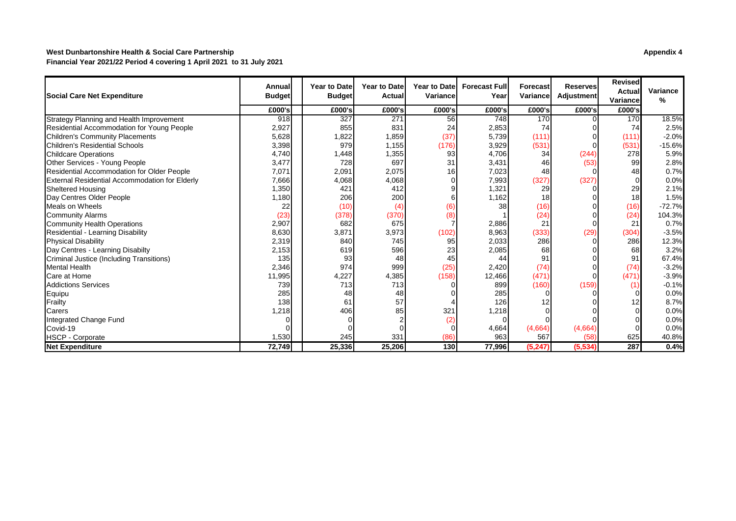### **West Dunbartonshire Health & Social Care Partnership Appendix 4 Financial Year 2021/22 Period 4 covering 1 April 2021 to 31 July 2021**

| Social Care Net Expenditure                       | Annua<br><b>Budget</b> | <b>Year to Date</b><br><b>Budget</b> | <b>Year to Date</b><br>Actual | <b>Year to Datel</b><br>Variance | <b>Forecast Full</b><br>Year | <b>Forecast</b><br>Variance | <b>Reserves</b><br>Adjustment | <b>Revised</b><br><b>Actual</b><br>Variance | Variance<br>℅ |
|---------------------------------------------------|------------------------|--------------------------------------|-------------------------------|----------------------------------|------------------------------|-----------------------------|-------------------------------|---------------------------------------------|---------------|
|                                                   | £000's                 | £000's                               | £000's                        | £000's                           | £000's                       | £000's                      | £000's                        | £000's                                      |               |
| Strategy Planning and Health Improvement          | 918                    | 327                                  | 271                           | 56                               | 748                          | 170                         |                               | 170                                         | 18.5%         |
| <b>Residential Accommodation for Young People</b> | 2,927                  | 855                                  | 831                           | 24                               | 2,853                        | 74                          |                               | 74                                          | 2.5%          |
| <b>Children's Community Placements</b>            | 5,628                  | 1,822                                | 1,859                         | (37)                             | 5,739                        | (111)                       |                               | (111)                                       | $-2.0%$       |
| Children's Residential Schools                    | 3,398                  | 979                                  | 1,155                         | (176)                            | 3,929                        | (531)                       |                               | (531)                                       | $-15.6%$      |
| <b>Childcare Operations</b>                       | 4,740                  | 1,448                                | 1,355                         | 93                               | 4,706                        | 34                          | (244)                         | 278                                         | 5.9%          |
| Other Services - Young People                     | 3,477                  | 728                                  | 697                           | 31                               | 3,431                        | 46                          | (53)                          | 99                                          | 2.8%          |
| Residential Accommodation for Older People        | 7,071                  | 2,091                                | 2,075                         | 16                               | 7,023                        | 48                          |                               | 48                                          | 0.7%          |
| External Residential Accommodation for Elderly    | 7,666                  | 4,068                                | 4,068                         |                                  | 7,993                        | (327)                       | (327)                         |                                             | 0.0%          |
| <b>Sheltered Housing</b>                          | 1,350                  | 421                                  | 412                           |                                  | 1,321                        | 29                          |                               | 29                                          | 2.1%          |
| Day Centres Older People                          | 1,180                  | 206                                  | 200                           |                                  | 1,162                        | 18                          |                               | 18                                          | 1.5%          |
| Meals on Wheels                                   | 22                     | (10)                                 | (4)                           | (6)                              | 38                           | (16)                        |                               | (16)                                        | $-72.7%$      |
| <b>Community Alarms</b>                           | (23)                   | (378)                                | (370)                         | (8)                              |                              | (24)                        |                               | (24)                                        | 104.3%        |
| <b>Community Health Operations</b>                | 2,907                  | 682                                  | 675                           |                                  | 2,886                        | 21                          | $\Omega$                      | 21                                          | 0.7%          |
| Residential - Learning Disability                 | 8,630                  | 3,871                                | 3,973                         | (102)                            | 8,963                        | (333)                       | (29)                          | (304)                                       | $-3.5%$       |
| <b>Physical Disability</b>                        | 2,319                  | 840                                  | 745                           | 95                               | 2,033                        | 286                         | O                             | 286                                         | 12.3%         |
| Day Centres - Learning Disabilty                  | 2,153                  | 619                                  | 596                           | 23                               | 2,085                        | 68                          |                               | 68                                          | 3.2%          |
| <b>Criminal Justice (Including Transitions)</b>   | 135                    | 93                                   | 48                            | 45                               | 44                           | 91                          |                               | 91                                          | 67.4%         |
| <b>Mental Health</b>                              | 2,346                  | 974                                  | 999                           | (25)                             | 2,420                        | (74)                        |                               | (74)                                        | $-3.2%$       |
| Care at Home                                      | 11,995                 | 4,227                                | 4,385                         | (158)                            | 12,466                       | (471)                       | $\Omega$                      | (471)                                       | $-3.9%$       |
| <b>Addictions Services</b>                        | 739                    | 713                                  | 713                           |                                  | 899                          | (160)                       | (159)                         |                                             | $-0.1%$       |
| Equipu                                            | 285                    | 48                                   | 48                            |                                  | 285                          |                             |                               |                                             | 0.0%          |
| Frailty                                           | 138                    | 61                                   | 57                            |                                  | 126                          |                             |                               |                                             | 8.7%          |
| Carers                                            | 1,218                  | 406                                  | 85                            | 321                              | .218                         |                             |                               |                                             | 0.0%          |
| Integrated Change Fund                            |                        |                                      |                               | (2)                              |                              |                             |                               |                                             | 0.0%          |
| Covid-19                                          |                        |                                      |                               |                                  | 4,664                        | (4,664)                     | (4,664)                       |                                             | 0.0%          |
| <b>HSCP - Corporate</b>                           | 1,530                  | 245                                  | 331                           | (86)                             | 963                          | 567                         | (58)                          | 625                                         | 40.8%         |
| <b>Net Expenditure</b>                            | 72,749                 | 25,336                               | 25,206                        | 130                              | 77,996                       | (5, 247)                    | (5, 534)                      | 287                                         | 0.4%          |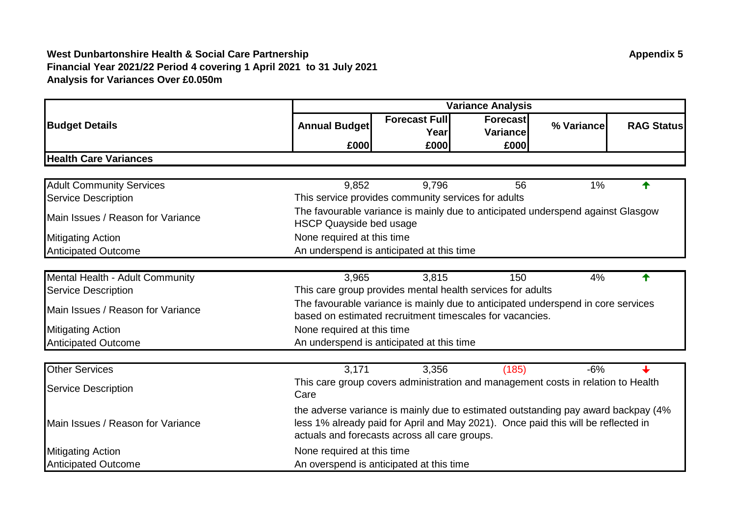|                                   | <b>Variance Analysis</b>                                                                                                                                                                                                |                                                                                                                                              |           |            |                   |  |  |  |
|-----------------------------------|-------------------------------------------------------------------------------------------------------------------------------------------------------------------------------------------------------------------------|----------------------------------------------------------------------------------------------------------------------------------------------|-----------|------------|-------------------|--|--|--|
| <b>Budget Details</b>             | <b>Annual Budget</b>                                                                                                                                                                                                    | <b>Forecast Full</b>                                                                                                                         | Forecast  | % Variance | <b>RAG Status</b> |  |  |  |
|                                   |                                                                                                                                                                                                                         | Year                                                                                                                                         | Variancel |            |                   |  |  |  |
|                                   | £000                                                                                                                                                                                                                    | £000                                                                                                                                         | £000      |            |                   |  |  |  |
| <b>Health Care Variances</b>      |                                                                                                                                                                                                                         |                                                                                                                                              |           |            |                   |  |  |  |
|                                   |                                                                                                                                                                                                                         |                                                                                                                                              |           |            |                   |  |  |  |
| <b>Adult Community Services</b>   | 9,852                                                                                                                                                                                                                   | 9,796                                                                                                                                        | 56        | 1%         | ♠                 |  |  |  |
| <b>Service Description</b>        |                                                                                                                                                                                                                         | This service provides community services for adults                                                                                          |           |            |                   |  |  |  |
| Main Issues / Reason for Variance | <b>HSCP Quayside bed usage</b>                                                                                                                                                                                          | The favourable variance is mainly due to anticipated underspend against Glasgow                                                              |           |            |                   |  |  |  |
| <b>Mitigating Action</b>          | None required at this time                                                                                                                                                                                              |                                                                                                                                              |           |            |                   |  |  |  |
| <b>Anticipated Outcome</b>        |                                                                                                                                                                                                                         | An underspend is anticipated at this time                                                                                                    |           |            |                   |  |  |  |
|                                   |                                                                                                                                                                                                                         |                                                                                                                                              |           |            |                   |  |  |  |
| Mental Health - Adult Community   | 3,965                                                                                                                                                                                                                   | 3,815                                                                                                                                        | 150       | 4%         | ♠                 |  |  |  |
| <b>Service Description</b>        |                                                                                                                                                                                                                         | This care group provides mental health services for adults                                                                                   |           |            |                   |  |  |  |
| Main Issues / Reason for Variance |                                                                                                                                                                                                                         | The favourable variance is mainly due to anticipated underspend in core services<br>based on estimated recruitment timescales for vacancies. |           |            |                   |  |  |  |
| <b>Mitigating Action</b>          | None required at this time                                                                                                                                                                                              |                                                                                                                                              |           |            |                   |  |  |  |
| <b>Anticipated Outcome</b>        |                                                                                                                                                                                                                         | An underspend is anticipated at this time                                                                                                    |           |            |                   |  |  |  |
|                                   |                                                                                                                                                                                                                         |                                                                                                                                              |           |            |                   |  |  |  |
| <b>Other Services</b>             | 3,171                                                                                                                                                                                                                   | 3,356                                                                                                                                        | (185)     | $-6%$      |                   |  |  |  |
| <b>Service Description</b>        | Care                                                                                                                                                                                                                    | This care group covers administration and management costs in relation to Health                                                             |           |            |                   |  |  |  |
| Main Issues / Reason for Variance | the adverse variance is mainly due to estimated outstanding pay award backpay (4%<br>less 1% already paid for April and May 2021). Once paid this will be reflected in<br>actuals and forecasts across all care groups. |                                                                                                                                              |           |            |                   |  |  |  |
| <b>Mitigating Action</b>          | None required at this time                                                                                                                                                                                              |                                                                                                                                              |           |            |                   |  |  |  |
| <b>Anticipated Outcome</b>        |                                                                                                                                                                                                                         | An overspend is anticipated at this time                                                                                                     |           |            |                   |  |  |  |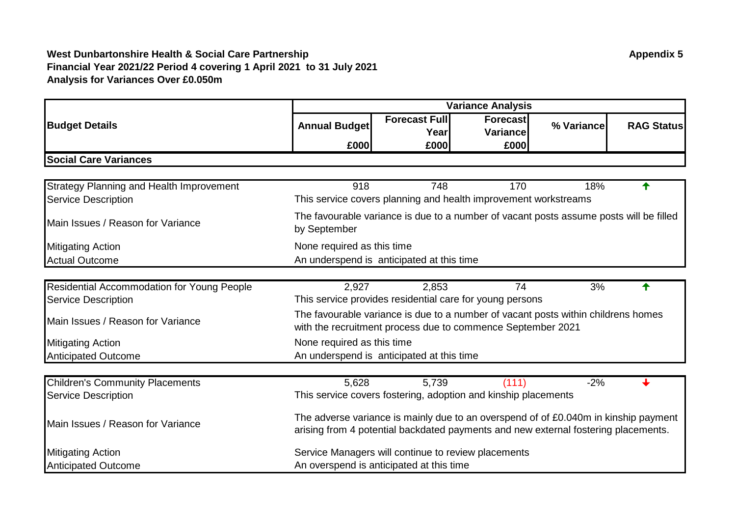|                                                   | <b>Variance Analysis</b>                                                                                                                                                  |                                                                                        |                                                                                                                                                  |            |                   |  |  |  |
|---------------------------------------------------|---------------------------------------------------------------------------------------------------------------------------------------------------------------------------|----------------------------------------------------------------------------------------|--------------------------------------------------------------------------------------------------------------------------------------------------|------------|-------------------|--|--|--|
| <b>Budget Details</b>                             | <b>Annual Budget</b>                                                                                                                                                      | <b>Forecast Full</b><br>Yearl                                                          | Forecast<br><b>Variance</b>                                                                                                                      | % Variance | <b>RAG Status</b> |  |  |  |
|                                                   | £000                                                                                                                                                                      | £000                                                                                   | £000                                                                                                                                             |            |                   |  |  |  |
| <b>Social Care Variances</b>                      |                                                                                                                                                                           |                                                                                        |                                                                                                                                                  |            |                   |  |  |  |
|                                                   |                                                                                                                                                                           |                                                                                        |                                                                                                                                                  |            |                   |  |  |  |
| <b>Strategy Planning and Health Improvement</b>   | 918                                                                                                                                                                       | 748                                                                                    | 170                                                                                                                                              | 18%        |                   |  |  |  |
| <b>Service Description</b>                        |                                                                                                                                                                           |                                                                                        | This service covers planning and health improvement workstreams                                                                                  |            |                   |  |  |  |
| Main Issues / Reason for Variance                 | by September                                                                                                                                                              | The favourable variance is due to a number of vacant posts assume posts will be filled |                                                                                                                                                  |            |                   |  |  |  |
| <b>Mitigating Action</b>                          | None required as this time                                                                                                                                                |                                                                                        |                                                                                                                                                  |            |                   |  |  |  |
| <b>Actual Outcome</b>                             | An underspend is anticipated at this time                                                                                                                                 |                                                                                        |                                                                                                                                                  |            |                   |  |  |  |
|                                                   |                                                                                                                                                                           |                                                                                        |                                                                                                                                                  |            |                   |  |  |  |
| <b>Residential Accommodation for Young People</b> | 2,927                                                                                                                                                                     | 2,853                                                                                  | 74                                                                                                                                               | 3%         |                   |  |  |  |
| <b>Service Description</b>                        |                                                                                                                                                                           |                                                                                        | This service provides residential care for young persons                                                                                         |            |                   |  |  |  |
| Main Issues / Reason for Variance                 |                                                                                                                                                                           |                                                                                        | The favourable variance is due to a number of vacant posts within childrens homes<br>with the recruitment process due to commence September 2021 |            |                   |  |  |  |
| <b>Mitigating Action</b>                          | None required as this time                                                                                                                                                |                                                                                        |                                                                                                                                                  |            |                   |  |  |  |
| <b>Anticipated Outcome</b>                        |                                                                                                                                                                           | An underspend is anticipated at this time                                              |                                                                                                                                                  |            |                   |  |  |  |
| <b>Children's Community Placements</b>            | 5,628                                                                                                                                                                     | 5,739                                                                                  | (111)                                                                                                                                            | $-2%$      |                   |  |  |  |
| <b>Service Description</b>                        |                                                                                                                                                                           |                                                                                        | This service covers fostering, adoption and kinship placements                                                                                   |            |                   |  |  |  |
| Main Issues / Reason for Variance                 | The adverse variance is mainly due to an overspend of of £0.040m in kinship payment<br>arising from 4 potential backdated payments and new external fostering placements. |                                                                                        |                                                                                                                                                  |            |                   |  |  |  |
| <b>Mitigating Action</b>                          | Service Managers will continue to review placements                                                                                                                       |                                                                                        |                                                                                                                                                  |            |                   |  |  |  |
| <b>Anticipated Outcome</b>                        |                                                                                                                                                                           | An overspend is anticipated at this time                                               |                                                                                                                                                  |            |                   |  |  |  |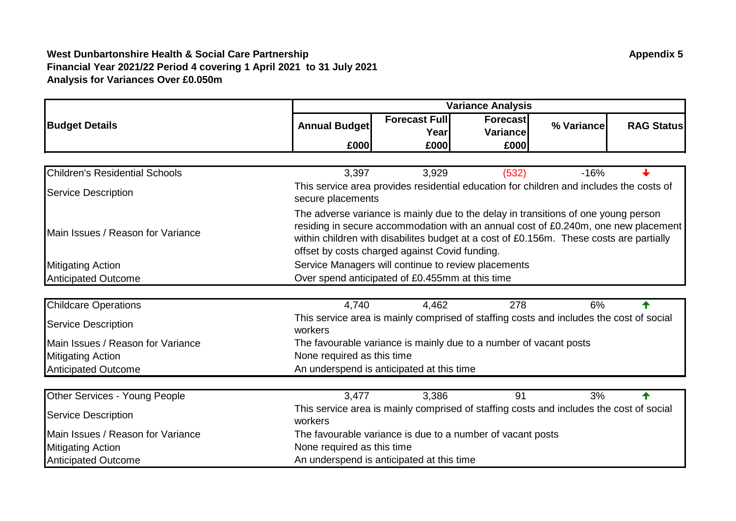|                                       | <b>Variance Analysis</b>   |                                                                                                                                                                                                                                                                                                                       |                       |            |                   |  |  |  |
|---------------------------------------|----------------------------|-----------------------------------------------------------------------------------------------------------------------------------------------------------------------------------------------------------------------------------------------------------------------------------------------------------------------|-----------------------|------------|-------------------|--|--|--|
| <b>Budget Details</b>                 | <b>Annual Budget</b>       | <b>Forecast Full</b><br>Year                                                                                                                                                                                                                                                                                          | Forecast<br>Variancel | % Variance | <b>RAG Status</b> |  |  |  |
|                                       | £000                       | £000                                                                                                                                                                                                                                                                                                                  | £000                  |            |                   |  |  |  |
|                                       |                            |                                                                                                                                                                                                                                                                                                                       |                       |            |                   |  |  |  |
| <b>Children's Residential Schools</b> | 3,397                      | 3,929                                                                                                                                                                                                                                                                                                                 | (532)                 | $-16%$     |                   |  |  |  |
| <b>Service Description</b>            | secure placements          | This service area provides residential education for children and includes the costs of                                                                                                                                                                                                                               |                       |            |                   |  |  |  |
| Main Issues / Reason for Variance     |                            | The adverse variance is mainly due to the delay in transitions of one young person<br>residing in secure accommodation with an annual cost of £0.240m, one new placement<br>within children with disabilites budget at a cost of £0.156m. These costs are partially<br>offset by costs charged against Covid funding. |                       |            |                   |  |  |  |
| <b>Mitigating Action</b>              |                            | Service Managers will continue to review placements                                                                                                                                                                                                                                                                   |                       |            |                   |  |  |  |
| <b>Anticipated Outcome</b>            |                            | Over spend anticipated of £0.455mm at this time                                                                                                                                                                                                                                                                       |                       |            |                   |  |  |  |
| <b>Childcare Operations</b>           | 4,740                      | 4,462                                                                                                                                                                                                                                                                                                                 | 278                   | 6%         |                   |  |  |  |
| <b>Service Description</b>            | workers                    | This service area is mainly comprised of staffing costs and includes the cost of social                                                                                                                                                                                                                               |                       |            |                   |  |  |  |
| Main Issues / Reason for Variance     |                            | The favourable variance is mainly due to a number of vacant posts                                                                                                                                                                                                                                                     |                       |            |                   |  |  |  |
| <b>Mitigating Action</b>              | None required as this time |                                                                                                                                                                                                                                                                                                                       |                       |            |                   |  |  |  |
| <b>Anticipated Outcome</b>            |                            | An underspend is anticipated at this time                                                                                                                                                                                                                                                                             |                       |            |                   |  |  |  |
| Other Services - Young People         | 3,477                      | 3,386                                                                                                                                                                                                                                                                                                                 | 91                    | 3%         |                   |  |  |  |
| <b>Service Description</b>            | workers                    | This service area is mainly comprised of staffing costs and includes the cost of social                                                                                                                                                                                                                               |                       |            |                   |  |  |  |
| Main Issues / Reason for Variance     |                            | The favourable variance is due to a number of vacant posts                                                                                                                                                                                                                                                            |                       |            |                   |  |  |  |
| <b>Mitigating Action</b>              | None required as this time |                                                                                                                                                                                                                                                                                                                       |                       |            |                   |  |  |  |
| <b>Anticipated Outcome</b>            |                            | An underspend is anticipated at this time                                                                                                                                                                                                                                                                             |                       |            |                   |  |  |  |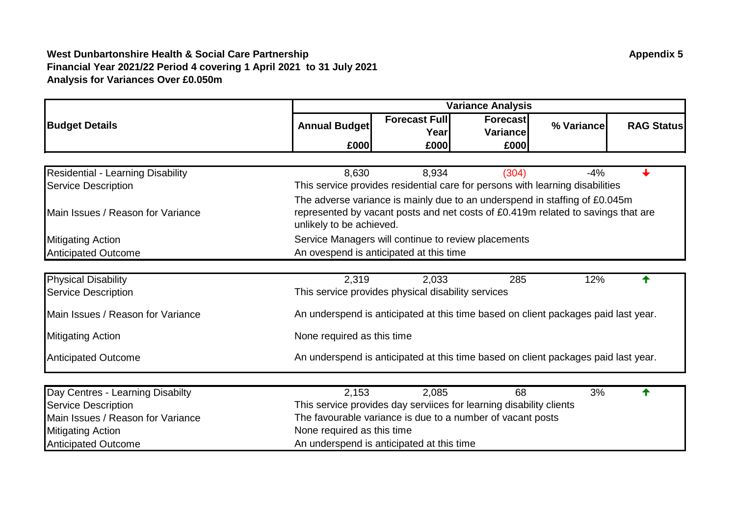|                                   |                            | <b>Variance Analysis</b>                                                                                                                                                                   |                      |            |                   |  |  |  |  |
|-----------------------------------|----------------------------|--------------------------------------------------------------------------------------------------------------------------------------------------------------------------------------------|----------------------|------------|-------------------|--|--|--|--|
| <b>Budget Details</b>             | <b>Annual Budget</b>       | <b>Forecast Full</b><br>Yearl                                                                                                                                                              | Forecast<br>Variance | % Variance | <b>RAG Status</b> |  |  |  |  |
|                                   | £000                       | £000                                                                                                                                                                                       | £000                 |            |                   |  |  |  |  |
|                                   |                            |                                                                                                                                                                                            |                      |            |                   |  |  |  |  |
| Residential - Learning Disability | 8,630                      | 8,934                                                                                                                                                                                      | (304)                | $-4%$      |                   |  |  |  |  |
| <b>Service Description</b>        |                            | This service provides residential care for persons with learning disabilities                                                                                                              |                      |            |                   |  |  |  |  |
| Main Issues / Reason for Variance |                            | The adverse variance is mainly due to an underspend in staffing of £0.045m<br>represented by vacant posts and net costs of £0.419m related to savings that are<br>unlikely to be achieved. |                      |            |                   |  |  |  |  |
| <b>Mitigating Action</b>          |                            | Service Managers will continue to review placements                                                                                                                                        |                      |            |                   |  |  |  |  |
| <b>Anticipated Outcome</b>        |                            | An ovespend is anticipated at this time                                                                                                                                                    |                      |            |                   |  |  |  |  |
|                                   |                            |                                                                                                                                                                                            |                      |            |                   |  |  |  |  |
| <b>Physical Disability</b>        | 2,319                      | 2,033                                                                                                                                                                                      | 285                  | 12%        |                   |  |  |  |  |
| <b>Service Description</b>        |                            | This service provides physical disability services                                                                                                                                         |                      |            |                   |  |  |  |  |
| Main Issues / Reason for Variance |                            | An underspend is anticipated at this time based on client packages paid last year.                                                                                                         |                      |            |                   |  |  |  |  |
| <b>Mitigating Action</b>          | None required as this time |                                                                                                                                                                                            |                      |            |                   |  |  |  |  |
| <b>Anticipated Outcome</b>        |                            | An underspend is anticipated at this time based on client packages paid last year.                                                                                                         |                      |            |                   |  |  |  |  |
| Day Centres - Learning Disabilty  | 2,153                      | 2,085                                                                                                                                                                                      | 68                   | 3%         |                   |  |  |  |  |
| <b>Service Description</b>        |                            | This service provides day serviices for learning disability clients                                                                                                                        |                      |            |                   |  |  |  |  |
| Main Issues / Reason for Variance |                            | The favourable variance is due to a number of vacant posts                                                                                                                                 |                      |            |                   |  |  |  |  |
| <b>Mitigating Action</b>          | None required as this time |                                                                                                                                                                                            |                      |            |                   |  |  |  |  |
| <b>Anticipated Outcome</b>        |                            | An underspend is anticipated at this time                                                                                                                                                  |                      |            |                   |  |  |  |  |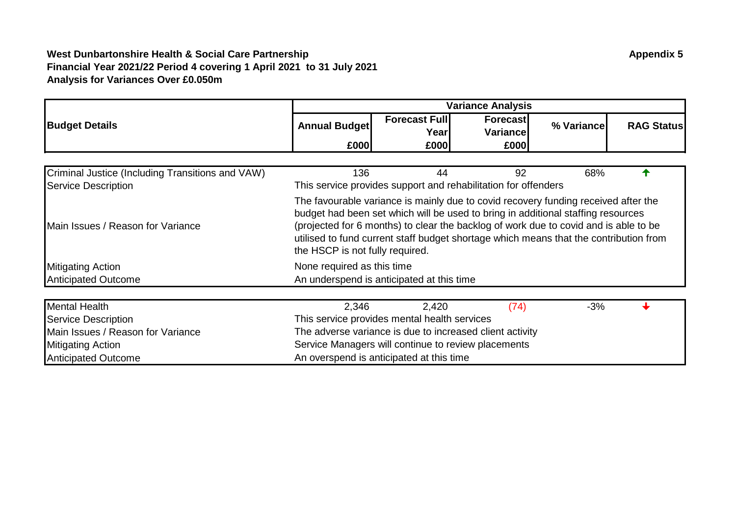|                                                  | <b>Variance Analysis</b>                                                                                                                                                                                                                                                                                                                                                                   |                               |                                                                |            |                   |  |  |  |
|--------------------------------------------------|--------------------------------------------------------------------------------------------------------------------------------------------------------------------------------------------------------------------------------------------------------------------------------------------------------------------------------------------------------------------------------------------|-------------------------------|----------------------------------------------------------------|------------|-------------------|--|--|--|
| <b>Budget Details</b>                            | <b>Annual Budget</b>                                                                                                                                                                                                                                                                                                                                                                       | <b>Forecast Full</b><br>Yearl | <b>Forecast</b><br><b>Variance</b>                             | % Variance | <b>RAG Status</b> |  |  |  |
|                                                  | £000                                                                                                                                                                                                                                                                                                                                                                                       | £000                          | £000                                                           |            |                   |  |  |  |
|                                                  |                                                                                                                                                                                                                                                                                                                                                                                            |                               |                                                                |            |                   |  |  |  |
| Criminal Justice (Including Transitions and VAW) | 136                                                                                                                                                                                                                                                                                                                                                                                        | 44                            | 92                                                             | 68%        |                   |  |  |  |
| <b>Service Description</b>                       |                                                                                                                                                                                                                                                                                                                                                                                            |                               | This service provides support and rehabilitation for offenders |            |                   |  |  |  |
| Main Issues / Reason for Variance                | The favourable variance is mainly due to covid recovery funding received after the<br>budget had been set which will be used to bring in additional staffing resources<br>(projected for 6 months) to clear the backlog of work due to covid and is able to be<br>utilised to fund current staff budget shortage which means that the contribution from<br>the HSCP is not fully required. |                               |                                                                |            |                   |  |  |  |
| <b>Mitigating Action</b>                         | None required as this time                                                                                                                                                                                                                                                                                                                                                                 |                               |                                                                |            |                   |  |  |  |
| <b>Anticipated Outcome</b>                       | An underspend is anticipated at this time                                                                                                                                                                                                                                                                                                                                                  |                               |                                                                |            |                   |  |  |  |
| <b>Mental Health</b>                             | 2,346                                                                                                                                                                                                                                                                                                                                                                                      | 2,420                         | (74)                                                           | $-3%$      |                   |  |  |  |
| <b>Service Description</b>                       | This service provides mental health services                                                                                                                                                                                                                                                                                                                                               |                               |                                                                |            |                   |  |  |  |
| Main Issues / Reason for Variance                |                                                                                                                                                                                                                                                                                                                                                                                            |                               | The adverse variance is due to increased client activity       |            |                   |  |  |  |
| <b>Mitigating Action</b>                         |                                                                                                                                                                                                                                                                                                                                                                                            |                               | Service Managers will continue to review placements            |            |                   |  |  |  |
| <b>Anticipated Outcome</b>                       | An overspend is anticipated at this time                                                                                                                                                                                                                                                                                                                                                   |                               |                                                                |            |                   |  |  |  |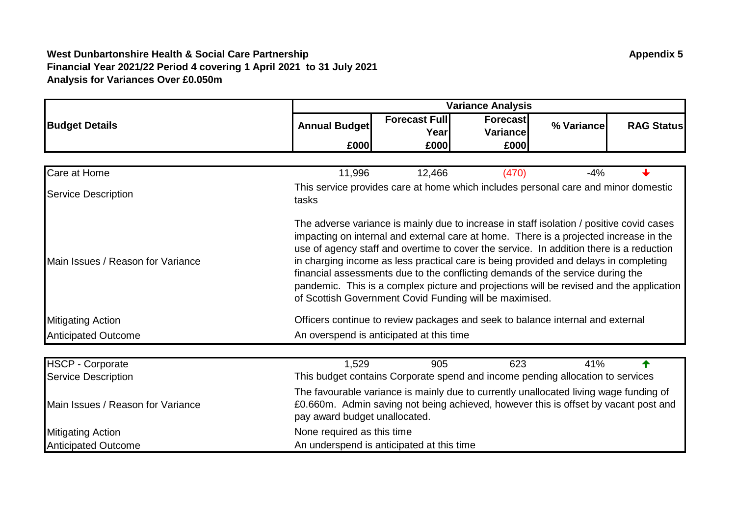|                                   | <b>Variance Analysis</b>                                                                                                                                                                                                                                                                                                                                                                                                                                                                                                                                                                                     |                              |                                                                                    |            |                   |  |  |  |
|-----------------------------------|--------------------------------------------------------------------------------------------------------------------------------------------------------------------------------------------------------------------------------------------------------------------------------------------------------------------------------------------------------------------------------------------------------------------------------------------------------------------------------------------------------------------------------------------------------------------------------------------------------------|------------------------------|------------------------------------------------------------------------------------|------------|-------------------|--|--|--|
| <b>Budget Details</b>             | <b>Annual Budget</b>                                                                                                                                                                                                                                                                                                                                                                                                                                                                                                                                                                                         | <b>Forecast Full</b><br>Year | <b>Forecast</b><br>Variance                                                        | % Variance | <b>RAG Status</b> |  |  |  |
|                                   | £000                                                                                                                                                                                                                                                                                                                                                                                                                                                                                                                                                                                                         | £000                         | £000                                                                               |            |                   |  |  |  |
|                                   |                                                                                                                                                                                                                                                                                                                                                                                                                                                                                                                                                                                                              |                              |                                                                                    |            |                   |  |  |  |
| Care at Home                      | 11,996                                                                                                                                                                                                                                                                                                                                                                                                                                                                                                                                                                                                       | 12,466                       | (470)                                                                              | $-4%$      |                   |  |  |  |
| <b>Service Description</b>        | tasks                                                                                                                                                                                                                                                                                                                                                                                                                                                                                                                                                                                                        |                              | This service provides care at home which includes personal care and minor domestic |            |                   |  |  |  |
| Main Issues / Reason for Variance | The adverse variance is mainly due to increase in staff isolation / positive covid cases<br>impacting on internal and external care at home. There is a projected increase in the<br>use of agency staff and overtime to cover the service. In addition there is a reduction<br>in charging income as less practical care is being provided and delays in completing<br>financial assessments due to the conflicting demands of the service during the<br>pandemic. This is a complex picture and projections will be revised and the application<br>of Scottish Government Covid Funding will be maximised. |                              |                                                                                    |            |                   |  |  |  |
| <b>Mitigating Action</b>          |                                                                                                                                                                                                                                                                                                                                                                                                                                                                                                                                                                                                              |                              | Officers continue to review packages and seek to balance internal and external     |            |                   |  |  |  |
| <b>Anticipated Outcome</b>        | An overspend is anticipated at this time                                                                                                                                                                                                                                                                                                                                                                                                                                                                                                                                                                     |                              |                                                                                    |            |                   |  |  |  |
| <b>HSCP - Corporate</b>           | 1,529                                                                                                                                                                                                                                                                                                                                                                                                                                                                                                                                                                                                        | 905                          | 623                                                                                | 41%        |                   |  |  |  |
| <b>Service Description</b>        |                                                                                                                                                                                                                                                                                                                                                                                                                                                                                                                                                                                                              |                              | This budget contains Corporate spend and income pending allocation to services     |            |                   |  |  |  |
| Main Issues / Reason for Variance | The favourable variance is mainly due to currently unallocated living wage funding of<br>£0.660m. Admin saving not being achieved, however this is offset by vacant post and<br>pay award budget unallocated.                                                                                                                                                                                                                                                                                                                                                                                                |                              |                                                                                    |            |                   |  |  |  |
| <b>Mitigating Action</b>          | None required as this time                                                                                                                                                                                                                                                                                                                                                                                                                                                                                                                                                                                   |                              |                                                                                    |            |                   |  |  |  |
| <b>Anticipated Outcome</b>        | An underspend is anticipated at this time                                                                                                                                                                                                                                                                                                                                                                                                                                                                                                                                                                    |                              |                                                                                    |            |                   |  |  |  |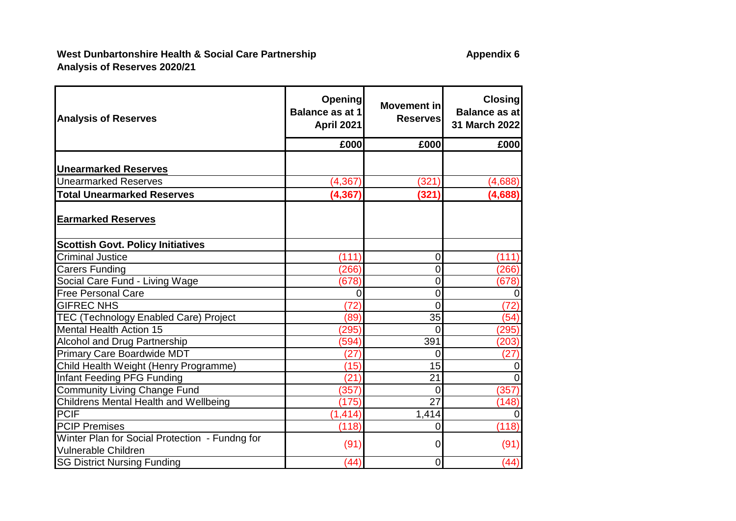| <b>Analysis of Reserves</b>                                                  | <b>Opening</b><br><b>Balance as at 1</b><br><b>April 2021</b> | Movement in<br><b>Reserves</b> | <b>Closing</b><br>Balance as at<br>31 March 2022 |
|------------------------------------------------------------------------------|---------------------------------------------------------------|--------------------------------|--------------------------------------------------|
|                                                                              | £000                                                          | £000                           | £000                                             |
| <b>Unearmarked Reserves</b>                                                  |                                                               |                                |                                                  |
| <b>Unearmarked Reserves</b>                                                  | (4, 367)                                                      | (321)                          | (4,688)                                          |
| <b>Total Unearmarked Reserves</b>                                            | (4, 367)                                                      | (321)                          | (4,688)                                          |
| <b>Earmarked Reserves</b>                                                    |                                                               |                                |                                                  |
| <b>Scottish Govt. Policy Initiatives</b>                                     |                                                               |                                |                                                  |
| <b>Criminal Justice</b>                                                      | (111)                                                         | $\overline{0}$                 | (111)                                            |
| <b>Carers Funding</b>                                                        | (266)                                                         | $\mathbf 0$                    | (266)                                            |
| Social Care Fund - Living Wage                                               | (678)                                                         | $\mathbf 0$                    | (678)                                            |
| <b>Free Personal Care</b>                                                    | 0                                                             | $\overline{0}$                 | $\overline{0}$                                   |
| <b>GIFREC NHS</b>                                                            | (72)                                                          | $\overline{0}$                 | (72)                                             |
| TEC (Technology Enabled Care) Project                                        | (89)                                                          | 35                             | (54)                                             |
| <b>Mental Health Action 15</b>                                               | (295)                                                         | $\Omega$                       | (295)                                            |
| <b>Alcohol and Drug Partnership</b>                                          | (594)                                                         | 391                            | (203)                                            |
| Primary Care Boardwide MDT                                                   | (27)                                                          | $\overline{0}$                 | (27)                                             |
| Child Health Weight (Henry Programme)                                        | (15)                                                          | 15                             | $\overline{0}$                                   |
| Infant Feeding PFG Funding                                                   | (21)                                                          | 21                             | $\overline{0}$                                   |
| <b>Community Living Change Fund</b>                                          | (357)                                                         | $\overline{0}$                 | (357)                                            |
| <b>Childrens Mental Health and Wellbeing</b>                                 | (175)                                                         | $\overline{27}$                | (148)                                            |
| <b>PCIF</b>                                                                  | (1, 414)                                                      | 1,414                          | $\overline{0}$                                   |
| <b>PCIP Premises</b>                                                         | (118)                                                         | $\overline{0}$                 | (118)                                            |
| Winter Plan for Social Protection - Fundng for<br><b>Vulnerable Children</b> | (91)                                                          | $\mathbf 0$                    | (91)                                             |
| <b>SG District Nursing Funding</b>                                           | (44)                                                          | $\mathbf 0$                    | (44)                                             |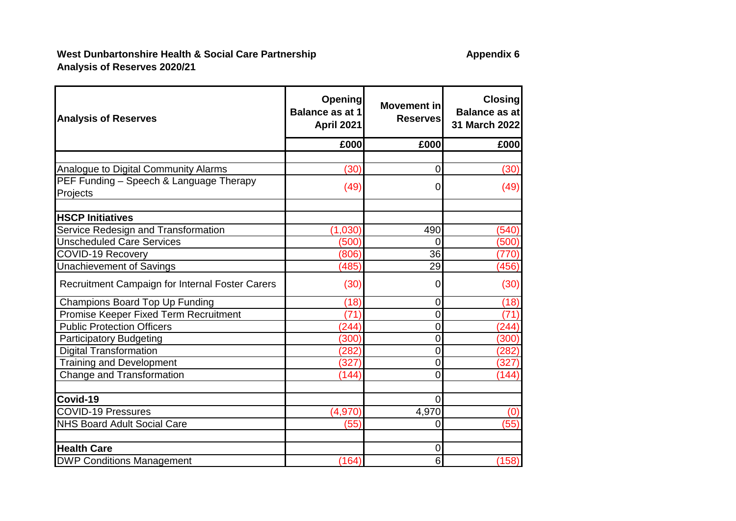| <b>Analysis of Reserves</b>                     | <b>Opening</b><br><b>Balance as at 1</b><br>April 2021 | Movement in<br><b>Reserves</b> | <b>Closing</b><br>Balance as at<br>31 March 2022 |
|-------------------------------------------------|--------------------------------------------------------|--------------------------------|--------------------------------------------------|
|                                                 | £000                                                   | £000                           | £000                                             |
|                                                 |                                                        |                                |                                                  |
| Analogue to Digital Community Alarms            | (30)                                                   | $\overline{0}$                 | (30)                                             |
| PEF Funding - Speech & Language Therapy         |                                                        | 0                              |                                                  |
| Projects                                        | (49)                                                   |                                | (49)                                             |
|                                                 |                                                        |                                |                                                  |
| <b>HSCP Initiatives</b>                         |                                                        |                                |                                                  |
| Service Redesign and Transformation             | (1,030)                                                | 490                            | (540)                                            |
| <b>Unscheduled Care Services</b>                | (500)                                                  | $\overline{0}$                 | (500)                                            |
| <b>COVID-19 Recovery</b>                        | (806)                                                  | $\overline{36}$                | (770)                                            |
| Unachievement of Savings                        | (485)                                                  | 29                             | (456)                                            |
| Recruitment Campaign for Internal Foster Carers | (30)                                                   | 0                              | (30)                                             |
| Champions Board Top Up Funding                  | (18)                                                   | $\overline{0}$                 | (18)                                             |
| Promise Keeper Fixed Term Recruitment           | (71)                                                   | $\overline{0}$                 | (71)                                             |
| <b>Public Protection Officers</b>               | (244)                                                  | $\overline{0}$                 | (244)                                            |
| <b>Participatory Budgeting</b>                  | (300)                                                  | 0                              | (300)                                            |
| <b>Digital Transformation</b>                   | (282)                                                  | $\mathbf 0$                    | (282)                                            |
| <b>Training and Development</b>                 | (327)                                                  | $\overline{0}$                 | (327)                                            |
| Change and Transformation                       | (144)                                                  | 0                              | (144)                                            |
|                                                 |                                                        |                                |                                                  |
| Covid-19                                        |                                                        | 0                              |                                                  |
| <b>COVID-19 Pressures</b>                       | (4,970)                                                | 4,970                          | (0)                                              |
| <b>NHS Board Adult Social Care</b>              | (55)                                                   | $\overline{0}$                 | (55)                                             |
| <b>Health Care</b>                              |                                                        | 0                              |                                                  |
| <b>DWP Conditions Management</b>                | (164)                                                  | 6                              | (158)                                            |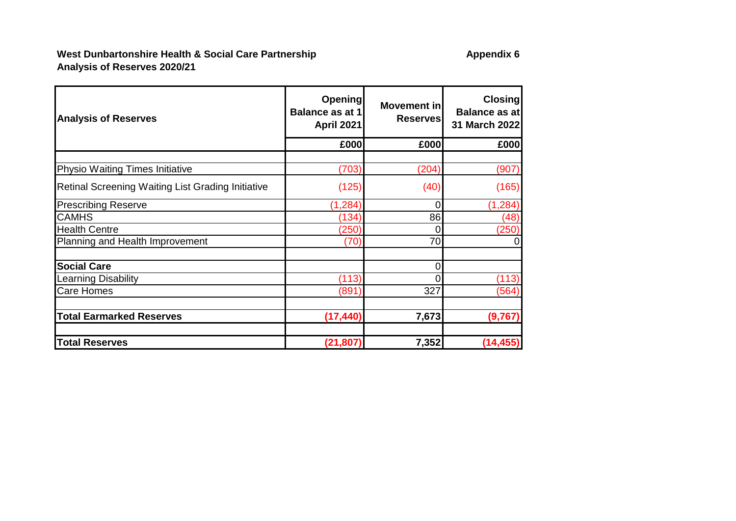| <b>Analysis of Reserves</b>                              | <b>Opening</b><br><b>Balance as at 1</b><br><b>April 2021</b> | Movement in<br><b>Reserves</b> | <b>Closing</b><br>Balance as at<br>31 March 2022 |
|----------------------------------------------------------|---------------------------------------------------------------|--------------------------------|--------------------------------------------------|
|                                                          | £000                                                          | £000                           | £000                                             |
|                                                          |                                                               |                                |                                                  |
| <b>Physio Waiting Times Initiative</b>                   | (703)                                                         | (204)                          | (907)                                            |
| <b>Retinal Screening Waiting List Grading Initiative</b> | (125)                                                         | (40)                           | (165)                                            |
| <b>Prescribing Reserve</b>                               | (1, 284)                                                      | 0                              | (1, 284)                                         |
| <b>CAMHS</b>                                             | (134)                                                         | 86                             | (48)                                             |
| <b>Health Centre</b>                                     | (250)                                                         | 0                              | (250)                                            |
| Planning and Health Improvement                          | (70)                                                          | 70                             | $\overline{0}$                                   |
| <b>Social Care</b>                                       |                                                               | 0                              |                                                  |
| <b>Learning Disability</b>                               | (113)                                                         |                                | (113)                                            |
| <b>Care Homes</b>                                        | (891)                                                         | 327                            | (564)                                            |
| <b>Total Earmarked Reserves</b>                          | (17, 440)                                                     | 7,673                          | (9,767)                                          |
| <b>Total Reserves</b>                                    | (21, 807)                                                     | 7,352                          | (14, 455)                                        |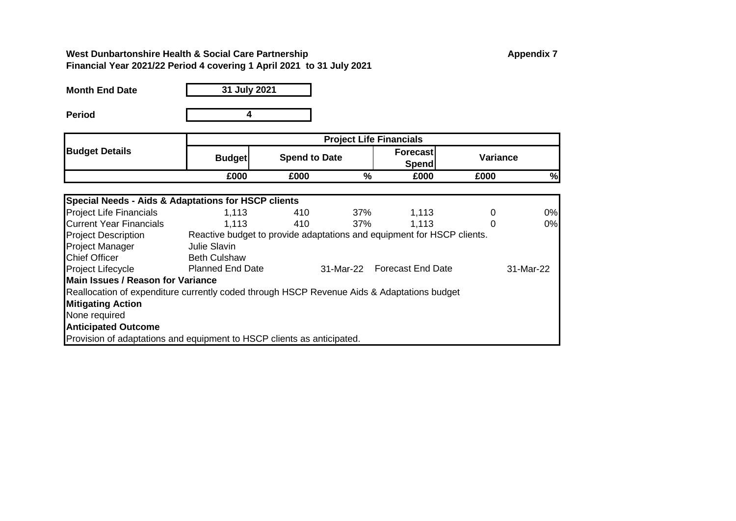## **West Dunbartonshire Health & Social Care Partnership <b>Appendix 7** Appendix 7 **Financial Year 2021/22 Period 4 covering 1 April 2021 to 31 July 2021**

| <b>Month End Date</b> | 31 July 2021 |
|-----------------------|--------------|
| <b>Period</b>         |              |

|                                                                                            |                         | <b>Project Life Financials</b>                                         |     |                                 |                 |           |  |
|--------------------------------------------------------------------------------------------|-------------------------|------------------------------------------------------------------------|-----|---------------------------------|-----------------|-----------|--|
| <b>Budget Details</b>                                                                      | <b>Budget</b>           | <b>Spend to Date</b>                                                   |     | <b>Forecast</b><br><b>Spend</b> | <b>Variance</b> |           |  |
|                                                                                            | £000                    | £000                                                                   | %   | £000                            | £000            | %         |  |
|                                                                                            |                         |                                                                        |     |                                 |                 |           |  |
| Special Needs - Aids & Adaptations for HSCP clients                                        |                         |                                                                        |     |                                 |                 |           |  |
| <b>Project Life Financials</b>                                                             | 1,113                   | 410                                                                    | 37% | 1,113                           | 0               | 0%        |  |
| <b>Current Year Financials</b>                                                             | 1.113                   | 410                                                                    | 37% | 1.113                           | $\Omega$        | 0%        |  |
| <b>Project Description</b>                                                                 |                         | Reactive budget to provide adaptations and equipment for HSCP clients. |     |                                 |                 |           |  |
| <b>Project Manager</b>                                                                     | Julie Slavin            |                                                                        |     |                                 |                 |           |  |
| <b>Chief Officer</b>                                                                       | <b>Beth Culshaw</b>     |                                                                        |     |                                 |                 |           |  |
| Project Lifecycle                                                                          | <b>Planned End Date</b> |                                                                        |     | 31-Mar-22 Forecast End Date     |                 | 31-Mar-22 |  |
| <b>Main Issues / Reason for Variance</b>                                                   |                         |                                                                        |     |                                 |                 |           |  |
| Reallocation of expenditure currently coded through HSCP Revenue Aids & Adaptations budget |                         |                                                                        |     |                                 |                 |           |  |
| <b>Mitigating Action</b>                                                                   |                         |                                                                        |     |                                 |                 |           |  |
| None required                                                                              |                         |                                                                        |     |                                 |                 |           |  |
| <b>Anticipated Outcome</b>                                                                 |                         |                                                                        |     |                                 |                 |           |  |
| Provision of adaptations and equipment to HSCP clients as anticipated.                     |                         |                                                                        |     |                                 |                 |           |  |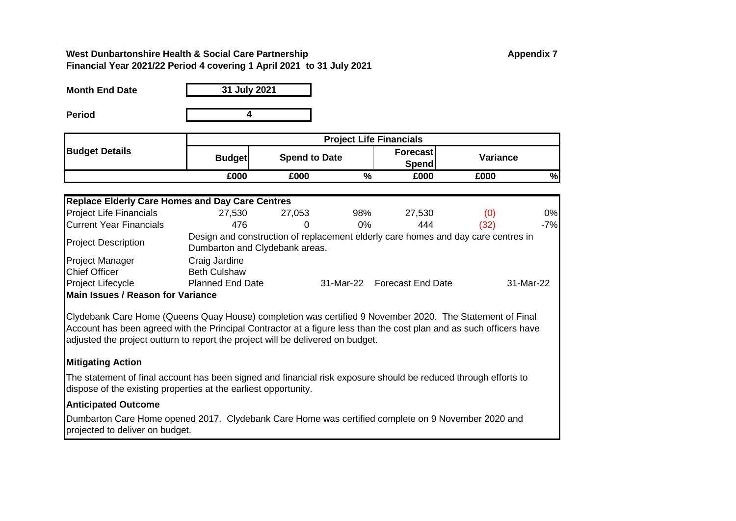## **West Dunbartonshire Health & Social Care Partnership Appendix 7 Appendix 7 Financial Year 2021/22 Period 4 covering 1 April 2021 to 31 July 2021**

| <b>Month End Date</b> | 31 July 2021 |
|-----------------------|--------------|
| Period                |              |

**Period**

|                       | <b>Project Life Financials</b> |                      |   |                    |          |   |
|-----------------------|--------------------------------|----------------------|---|--------------------|----------|---|
| <b>Budget Details</b> | <b>Budget</b>                  | <b>Spend to Date</b> |   | Forecast<br>Spendl | Variance |   |
|                       | £000                           | £000                 | % | £000               | £000     | % |

| <b>Replace Elderly Care Homes and Day Care Centres</b> |                                |        |       |                                                                                   |      |           |
|--------------------------------------------------------|--------------------------------|--------|-------|-----------------------------------------------------------------------------------|------|-----------|
| <b>Project Life Financials</b>                         | 27,530                         | 27,053 | 98%   | 27,530                                                                            | (0)  | 0%        |
| <b>Current Year Financials</b>                         | 476                            | 0      | $0\%$ | 444                                                                               | (32) | $-7%$     |
| <b>Project Description</b>                             | Dumbarton and Clydebank areas. |        |       | Design and construction of replacement elderly care homes and day care centres in |      |           |
| <b>Project Manager</b>                                 | Craig Jardine                  |        |       |                                                                                   |      |           |
| <b>Chief Officer</b>                                   | <b>Beth Culshaw</b>            |        |       |                                                                                   |      |           |
| Project Lifecycle                                      | <b>Planned End Date</b>        |        |       | 31-Mar-22 Forecast End Date                                                       |      | 31-Mar-22 |
| Main Issues / Reason for Variance                      |                                |        |       |                                                                                   |      |           |

Clydebank Care Home (Queens Quay House) completion was certified 9 November 2020. The Statement of Final Account has been agreed with the Principal Contractor at a figure less than the cost plan and as such officers have adjusted the project outturn to report the project will be delivered on budget.

## **Mitigating Action**

The statement of final account has been signed and financial risk exposure should be reduced through efforts to dispose of the existing properties at the earliest opportunity.

## **Anticipated Outcome**

Dumbarton Care Home opened 2017. Clydebank Care Home was certified complete on 9 November 2020 and projected to deliver on budget.